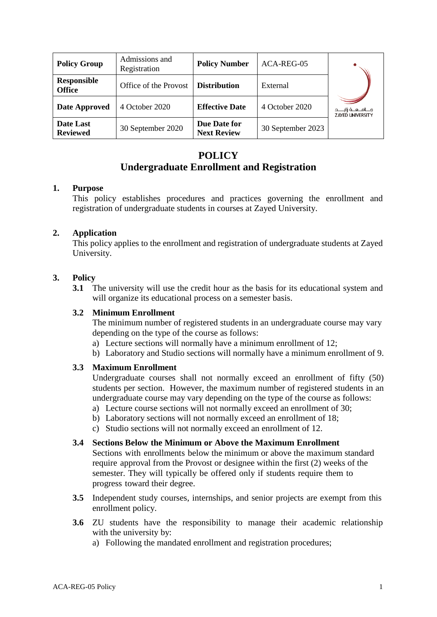| <b>Policy Group</b>                 | Admissions and<br>Registration | <b>Policy Number</b>               | ACA-REG-05        |                                                      |
|-------------------------------------|--------------------------------|------------------------------------|-------------------|------------------------------------------------------|
| <b>Responsible</b><br><b>Office</b> | Office of the Provost          | <b>Distribution</b>                | External          |                                                      |
| Date Approved                       | 4 October 2020                 | <b>Effective Date</b>              | 4 October 2020    | جــــامـــعـــة زايـــــد<br><b>ZAYED UNIVERSITY</b> |
| Date Last<br><b>Reviewed</b>        | 30 September 2020              | Due Date for<br><b>Next Review</b> | 30 September 2023 |                                                      |

## **POLICY**

# **Undergraduate Enrollment and Registration**

## **1. Purpose**

This policy establishes procedures and practices governing the enrollment and registration of undergraduate students in courses at Zayed University.

## **2. Application**

This policy applies to the enrollment and registration of undergraduate students at Zayed University.

## **3. Policy**

**3.1** The university will use the credit hour as the basis for its educational system and will organize its educational process on a semester basis.

#### **3.2 Minimum Enrollment**

The minimum number of registered students in an undergraduate course may vary depending on the type of the course as follows:

- a) Lecture sections will normally have a minimum enrollment of 12;
- b) Laboratory and Studio sections will normally have a minimum enrollment of 9.

## **3.3 Maximum Enrollment**

Undergraduate courses shall not normally exceed an enrollment of fifty (50) students per section. However, the maximum number of registered students in an undergraduate course may vary depending on the type of the course as follows:

- a) Lecture course sections will not normally exceed an enrollment of 30;
- b) Laboratory sections will not normally exceed an enrollment of 18;
- c) Studio sections will not normally exceed an enrollment of 12.

## **3.4 Sections Below the Minimum or Above the Maximum Enrollment**

Sections with enrollments below the minimum or above the maximum standard require approval from the Provost or designee within the first (2) weeks of the semester. They will typically be offered only if students require them to progress toward their degree.

- **3.5** Independent study courses, internships, and senior projects are exempt from this enrollment policy.
- **3.6** ZU students have the responsibility to manage their academic relationship with the university by:
	- a) Following the mandated enrollment and registration procedures;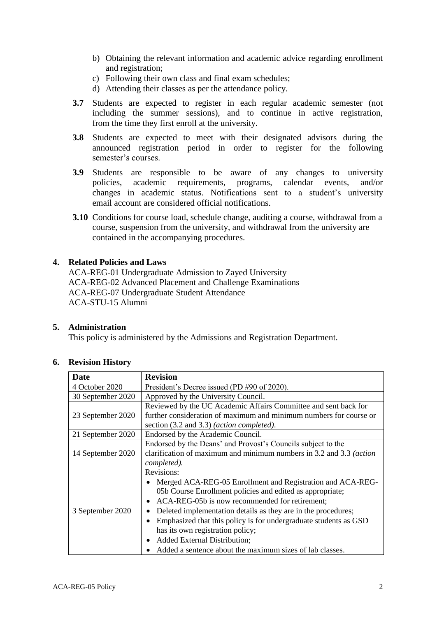- b) Obtaining the relevant information and academic advice regarding enrollment and registration;
- c) Following their own class and final exam schedules;
- d) Attending their classes as per the attendance policy.
- **3.7** Students are expected to register in each regular academic semester (not including the summer sessions), and to continue in active registration, from the time they first enroll at the university.
- **3.8** Students are expected to meet with their designated advisors during the announced registration period in order to register for the following semester's courses.
- **3.9** Students are responsible to be aware of any changes to university policies, academic requirements, programs, calendar events, and/or changes in academic status. Notifications sent to a student's university email account are considered official notifications.
- **3.10** Conditions for course load, schedule change, auditing a course, withdrawal from a course, suspension from the university, and withdrawal from the university are contained in the accompanying procedures.

#### **4. Related Policies and Laws**

ACA-REG-01 Undergraduate Admission to Zayed University ACA-REG-02 Advanced Placement and Challenge Examinations ACA-REG-07 Undergraduate Student Attendance ACA-STU-15 Alumni

#### **5. Administration**

This policy is administered by the Admissions and Registration Department.

| Date              | <b>Revision</b>                                                                                                                                                                                                                                                                                                                                                                                                                                              |  |  |
|-------------------|--------------------------------------------------------------------------------------------------------------------------------------------------------------------------------------------------------------------------------------------------------------------------------------------------------------------------------------------------------------------------------------------------------------------------------------------------------------|--|--|
| 4 October 2020    | President's Decree issued (PD #90 of 2020).                                                                                                                                                                                                                                                                                                                                                                                                                  |  |  |
| 30 September 2020 | Approved by the University Council.                                                                                                                                                                                                                                                                                                                                                                                                                          |  |  |
| 23 September 2020 | Reviewed by the UC Academic Affairs Committee and sent back for<br>further consideration of maximum and minimum numbers for course or<br>section (3.2 and 3.3) ( <i>action completed</i> ).                                                                                                                                                                                                                                                                  |  |  |
| 21 September 2020 | Endorsed by the Academic Council.                                                                                                                                                                                                                                                                                                                                                                                                                            |  |  |
| 14 September 2020 | Endorsed by the Deans' and Provost's Councils subject to the<br>clarification of maximum and minimum numbers in 3.2 and 3.3 (action<br>completed).                                                                                                                                                                                                                                                                                                           |  |  |
| 3 September 2020  | Revisions:<br>Merged ACA-REG-05 Enrollment and Registration and ACA-REG-<br>05b Course Enrollment policies and edited as appropriate;<br>ACA-REG-05b is now recommended for retirement;<br>Deleted implementation details as they are in the procedures;<br>Emphasized that this policy is for undergraduate students as GSD<br>has its own registration policy;<br>Added External Distribution;<br>Added a sentence about the maximum sizes of lab classes. |  |  |

#### **6. Revision History**